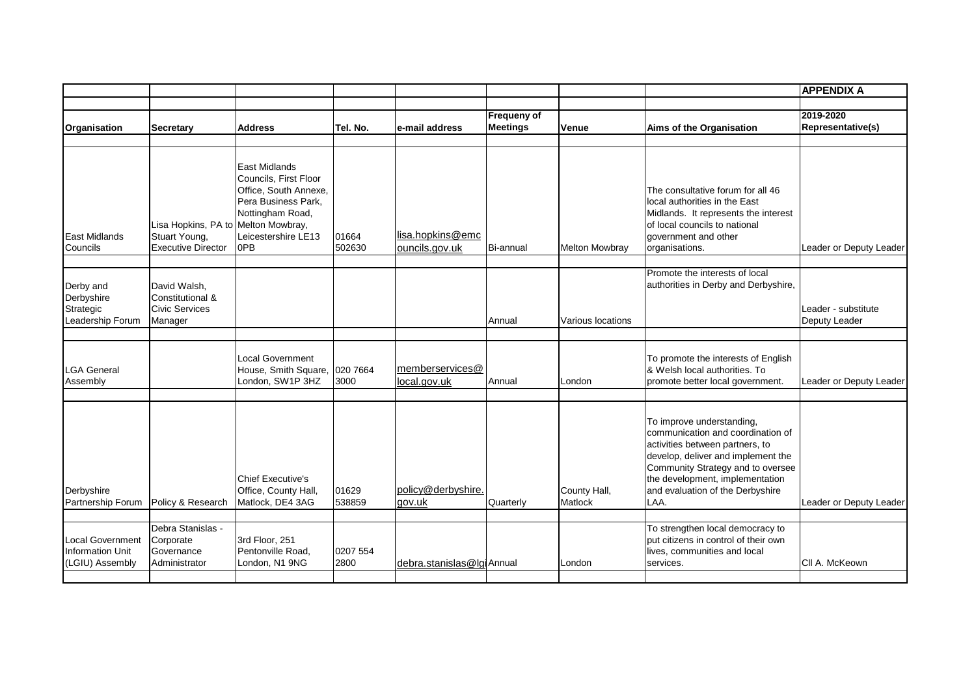|                                                                       |                                                                                   |                                                                                                                                            |                  |                                    |                                |                         |                                                                                                                                                                                                                                                             | <b>APPENDIX A</b>                    |
|-----------------------------------------------------------------------|-----------------------------------------------------------------------------------|--------------------------------------------------------------------------------------------------------------------------------------------|------------------|------------------------------------|--------------------------------|-------------------------|-------------------------------------------------------------------------------------------------------------------------------------------------------------------------------------------------------------------------------------------------------------|--------------------------------------|
|                                                                       |                                                                                   |                                                                                                                                            |                  |                                    |                                |                         |                                                                                                                                                                                                                                                             |                                      |
| Organisation                                                          | <b>Secretary</b>                                                                  | <b>Address</b>                                                                                                                             | Tel. No.         | e-mail address                     | Frequeny of<br><b>Meetings</b> | Venue                   | Aims of the Organisation                                                                                                                                                                                                                                    | 2019-2020<br>Representative(s)       |
|                                                                       |                                                                                   |                                                                                                                                            |                  |                                    |                                |                         |                                                                                                                                                                                                                                                             |                                      |
| <b>East Midlands</b><br>Councils                                      | Lisa Hopkins, PA to Melton Mowbray,<br>Stuart Young,<br><b>Executive Director</b> | East Midlands<br>Councils, First Floor<br>Office, South Annexe,<br>Pera Business Park,<br>Nottingham Road,<br>Leicestershire LE13<br>lop B | 01664<br>502630  | lisa.hopkins@emc<br>ouncils.gov.uk | Bi-annual                      | <b>Melton Mowbray</b>   | The consultative forum for all 46<br>local authorities in the East<br>Midlands. It represents the interest<br>of local councils to national<br>government and other<br>organisations.                                                                       | Leader or Deputy Leader              |
| Derby and<br>Derbyshire<br>Strategic<br>Leadership Forum              | David Walsh,<br>Constitutional &<br>Civic Services<br>Manager                     |                                                                                                                                            |                  |                                    | Annual                         | Various locations       | Promote the interests of local<br>authorities in Derby and Derbyshire,                                                                                                                                                                                      | Leader - substitute<br>Deputy Leader |
| <b>LGA General</b><br>Assembly                                        |                                                                                   | Local Government<br>House, Smith Square, 020 7664<br>London, SW1P 3HZ                                                                      | 3000             | memberservices@<br>local.gov.uk    | Annual                         | London                  | To promote the interests of English<br>& Welsh local authorities. To<br>promote better local government.                                                                                                                                                    | Leader or Deputy Leader              |
| Derbyshire<br>Partnership Forum                                       | Policy & Research                                                                 | Chief Executive's<br>Office, County Hall,<br>Matlock, DE4 3AG                                                                              | 01629<br>538859  | policy@derbyshire.<br>gov.uk       | Quarterly                      | County Hall,<br>Matlock | To improve understanding,<br>communication and coordination of<br>activities between partners, to<br>develop, deliver and implement the<br>Community Strategy and to oversee<br>the development, implementation<br>and evaluation of the Derbyshire<br>LAA. | Leader or Deputy Leader              |
| <b>Local Government</b><br><b>Information Unit</b><br>(LGIU) Assembly | Debra Stanislas -<br>Corporate<br>Governance<br>Administrator                     | 3rd Floor, 251<br>Pentonville Road,<br>London, N1 9NG                                                                                      | 0207 554<br>2800 | debra.stanislas@lgiAnnual          |                                | London                  | To strengthen local democracy to<br>put citizens in control of their own<br>lives, communities and local<br>services.                                                                                                                                       | CII A. McKeown                       |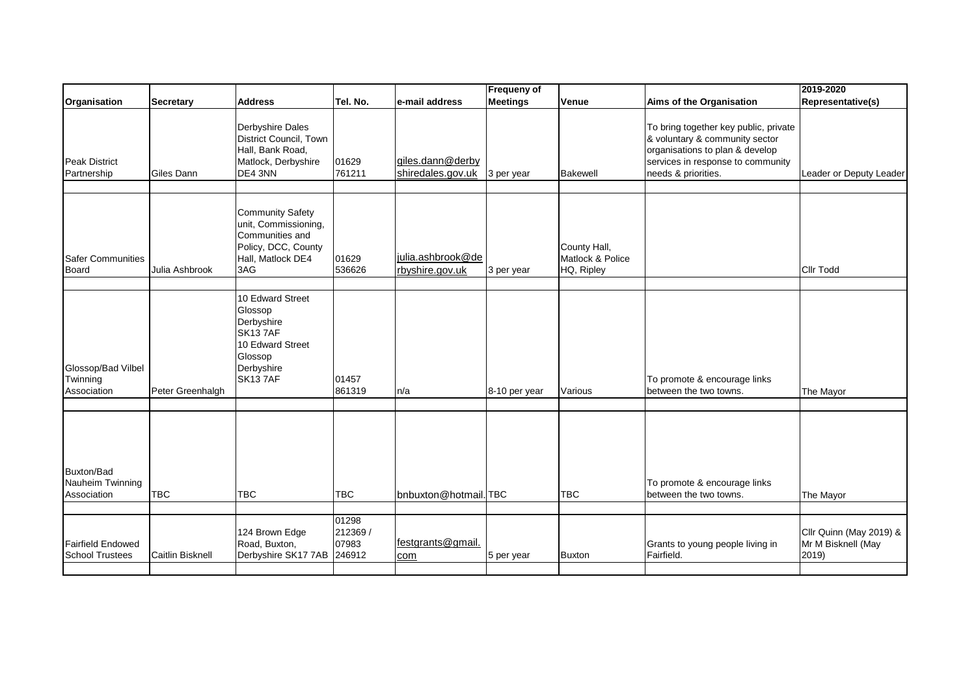|                                                      |                  |                                                                                                                            |                                     |                                       | Frequeny of     |                                                |                                                                                                                                                                        | 2019-2020                                              |
|------------------------------------------------------|------------------|----------------------------------------------------------------------------------------------------------------------------|-------------------------------------|---------------------------------------|-----------------|------------------------------------------------|------------------------------------------------------------------------------------------------------------------------------------------------------------------------|--------------------------------------------------------|
| Organisation                                         | <b>Secretary</b> | <b>Address</b>                                                                                                             | Tel. No.                            | e-mail address                        | <b>Meetings</b> | Venue                                          | Aims of the Organisation                                                                                                                                               | Representative(s)                                      |
| <b>Peak District</b><br>Partnership                  | Giles Dann       | Derbyshire Dales<br>District Council, Town<br>Hall, Bank Road,<br>Matlock, Derbyshire<br>DE4 3NN                           | 01629<br>761211                     | giles.dann@derby<br>shiredales.gov.uk | 3 per year      | <b>Bakewell</b>                                | To bring together key public, private<br>& voluntary & community sector<br>organisations to plan & develop<br>services in response to community<br>needs & priorities. | Leader or Deputy Leader                                |
| <b>Safer Communities</b><br><b>Board</b>             | Julia Ashbrook   | <b>Community Safety</b><br>unit, Commissioning,<br>Communities and<br>Policy, DCC, County<br>Hall, Matlock DE4<br>3AG      | 01629<br>536626                     | julia.ashbrook@de<br>rbyshire.gov.uk  | 3 per year      | County Hall,<br>Matlock & Police<br>HQ, Ripley |                                                                                                                                                                        | <b>Cllr Todd</b>                                       |
| Glossop/Bad Vilbel<br>Twinning<br>Association        | Peter Greenhalgh | 10 Edward Street<br>Glossop<br>Derbyshire<br><b>SK137AF</b><br>10 Edward Street<br>Glossop<br>Derbyshire<br><b>SK137AF</b> | 01457<br>861319                     | n/a                                   | 8-10 per year   | Various                                        | To promote & encourage links<br>between the two towns.                                                                                                                 | The Mayor                                              |
| <b>Buxton/Bad</b><br>Nauheim Twinning<br>Association | <b>TBC</b>       | <b>TBC</b>                                                                                                                 | <b>TBC</b>                          | bnbuxton@hotmail.lTBC                 |                 | <b>TBC</b>                                     | To promote & encourage links<br>between the two towns.                                                                                                                 | The Mayor                                              |
| <b>Fairfield Endowed</b><br><b>School Trustees</b>   | Caitlin Bisknell | 124 Brown Edge<br>Road, Buxton,<br>Derbyshire SK17 7AB                                                                     | 01298<br>212369/<br>07983<br>246912 | festgrants@gmail.<br>com              | 5 per year      | Buxton                                         | Grants to young people living in<br>Fairfield.                                                                                                                         | Cllr Quinn (May 2019) &<br>Mr M Bisknell (May<br>2019) |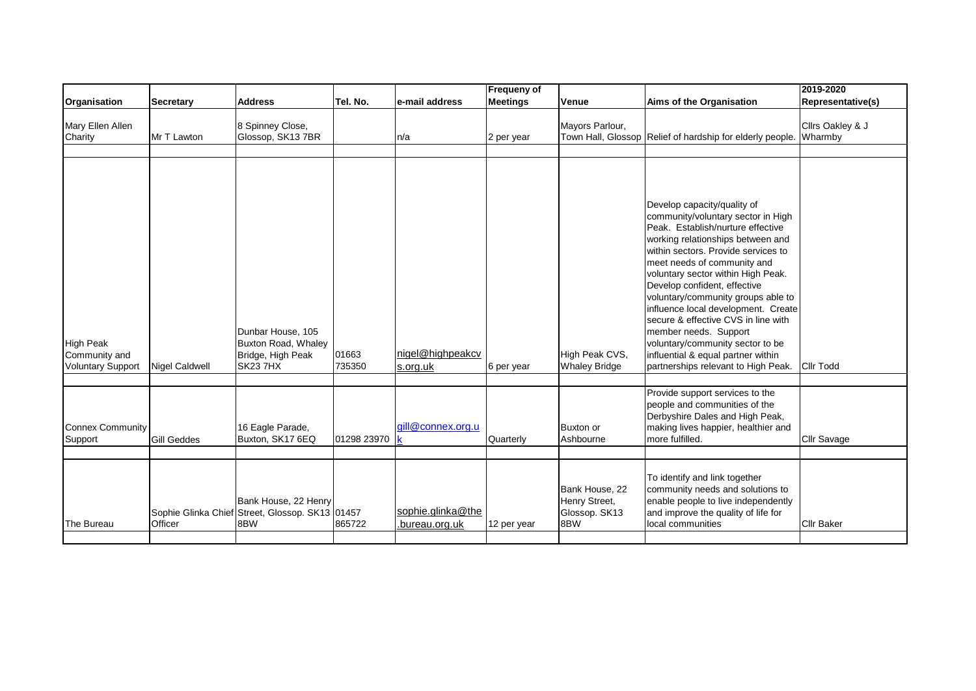|                                                               |                    |                                                                                  |                 |                                     | Frequeny of     |                                                         |                                                                                                                                                                                                                                                                                                                                                                                                                                                                                                                                                       | 2019-2020                   |
|---------------------------------------------------------------|--------------------|----------------------------------------------------------------------------------|-----------------|-------------------------------------|-----------------|---------------------------------------------------------|-------------------------------------------------------------------------------------------------------------------------------------------------------------------------------------------------------------------------------------------------------------------------------------------------------------------------------------------------------------------------------------------------------------------------------------------------------------------------------------------------------------------------------------------------------|-----------------------------|
| Organisation                                                  | Secretary          | <b>Address</b>                                                                   | Tel. No.        | e-mail address                      | <b>Meetings</b> | Venue                                                   | Aims of the Organisation                                                                                                                                                                                                                                                                                                                                                                                                                                                                                                                              | Representative(s)           |
| Mary Ellen Allen<br>Charity                                   | Mr T Lawton        | 8 Spinney Close,<br>Glossop, SK13 7BR                                            |                 | In/a                                | 2 per year      | Mayors Parlour,                                         | Town Hall, Glossop Relief of hardship for elderly people.                                                                                                                                                                                                                                                                                                                                                                                                                                                                                             | Cllrs Oakley & J<br>Wharmby |
| <b>High Peak</b><br>Community and<br><b>Voluntary Support</b> | Nigel Caldwell     | Dunbar House, 105<br>Buxton Road, Whaley<br>Bridge, High Peak<br><b>SK23 7HX</b> | 01663<br>735350 | nigel@highpeakcv<br>s.org.uk        | 6 per year      | High Peak CVS,<br><b>Whaley Bridge</b>                  | Develop capacity/quality of<br>community/voluntary sector in High<br>Peak. Establish/nurture effective<br>working relationships between and<br>within sectors. Provide services to<br>meet needs of community and<br>voluntary sector within High Peak.<br>Develop confident, effective<br>voluntary/community groups able to<br>influence local development. Create<br>secure & effective CVS in line with<br>member needs. Support<br>voluntary/community sector to be<br>influential & equal partner within<br>partnerships relevant to High Peak. | <b>Cllr Todd</b>            |
| <b>Connex Community</b><br>Support                            | <b>Gill Geddes</b> | 16 Eagle Parade,<br>Buxton, SK17 6EQ                                             | 01298 23970     | aill@connex.org.u                   | Quarterly       | Buxton or<br>Ashbourne                                  | Provide support services to the<br>people and communities of the<br>Derbyshire Dales and High Peak,<br>making lives happier, healthier and<br>more fulfilled.                                                                                                                                                                                                                                                                                                                                                                                         | Cllr Savage                 |
| The Bureau                                                    | Officer            | Bank House, 22 Henry<br>Sophie Glinka Chief Street, Glossop. SK13 01457<br>8BW   | 865722          | sophie.glinka@the<br>bureau.org.uk. | 12 per year     | Bank House, 22<br>Henry Street,<br>Glossop. SK13<br>8BW | To identify and link together<br>community needs and solutions to<br>enable people to live independently<br>and improve the quality of life for<br>local communities                                                                                                                                                                                                                                                                                                                                                                                  | <b>Cllr Baker</b>           |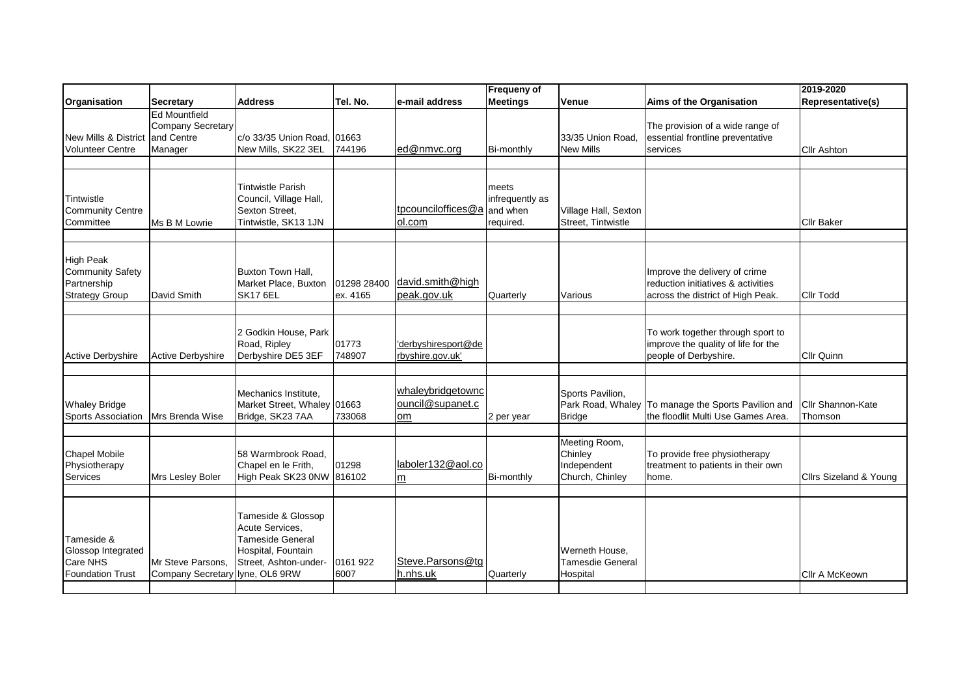|                                                                                     |                                                                    |                                                                                                                 |                         |                                             | Frequeny of                                       |                                                            |                                                                                                          | 2019-2020                    |
|-------------------------------------------------------------------------------------|--------------------------------------------------------------------|-----------------------------------------------------------------------------------------------------------------|-------------------------|---------------------------------------------|---------------------------------------------------|------------------------------------------------------------|----------------------------------------------------------------------------------------------------------|------------------------------|
| Organisation                                                                        | <b>Secretary</b>                                                   | <b>Address</b>                                                                                                  | Tel. No.                | e-mail address                              | <b>Meetings</b>                                   | Venue                                                      | Aims of the Organisation                                                                                 | <b>Representative(s)</b>     |
| <b>New Mills &amp; District</b><br><b>Volunteer Centre</b>                          | <b>Ed Mountfield</b><br>Company Secretary<br>and Centre<br>Manager | c/o 33/35 Union Road. 01663<br>New Mills, SK22 3EL                                                              | 744196                  | ed@nmvc.org                                 | Bi-monthly                                        | 33/35 Union Road.<br><b>New Mills</b>                      | The provision of a wide range of<br>essential frontline preventative<br>services                         | <b>Cllr Ashton</b>           |
| Tintwistle<br><b>Community Centre</b><br>Committee                                  | Ms B M Lowrie                                                      | Tintwistle Parish<br>Council, Village Hall,<br>Sexton Street,<br>Tintwistle, SK13 1JN                           |                         | tpcounciloffices@a<br>ol.com                | meets<br>infrequently as<br>and when<br>required. | Village Hall, Sexton<br>Street. Tintwistle                 |                                                                                                          | <b>Cllr Baker</b>            |
| <b>High Peak</b><br><b>Community Safety</b><br>Partnership<br><b>Strategy Group</b> | David Smith                                                        | Buxton Town Hall.<br>Market Place, Buxton<br><b>SK17 6EL</b>                                                    | 01298 28400<br>ex. 4165 | david.smith@high<br>peak.gov.uk             | Quarterly                                         | Various                                                    | Improve the delivery of crime<br>reduction initiatives & activities<br>across the district of High Peak. | <b>Cllr Todd</b>             |
| <b>Active Derbyshire</b>                                                            | Active Derbyshire                                                  | 2 Godkin House, Park<br>Road, Ripley<br>Derbyshire DE5 3EF                                                      | 01773<br>748907         | 'derbyshiresport@de<br>rbyshire.gov.uk'     |                                                   |                                                            | To work together through sport to<br>improve the quality of life for the<br>people of Derbyshire.        | Cllr Quinn                   |
| <b>Whaley Bridge</b><br><b>Sports Association</b>                                   | Mrs Brenda Wise                                                    | Mechanics Institute.<br>Market Street, Whaley 01663<br>Bridge, SK23 7AA                                         | 733068                  | whaleybridgetownc<br>ouncil@supanet.c<br>om | 2 per year                                        | Sports Pavilion.<br>Park Road, Whaley<br>Bridge            | To manage the Sports Pavilion and<br>the floodlit Multi Use Games Area.                                  | Cllr Shannon-Kate<br>Thomson |
| <b>Chapel Mobile</b><br>Physiotherapy<br>Services                                   | Mrs Lesley Boler                                                   | 58 Warmbrook Road.<br>Chapel en le Frith,<br>High Peak SK23 0NW 816102                                          | 01298                   | laboler132@aol.co<br> m                     | Bi-monthly                                        | Meeting Room,<br>Chinley<br>Independent<br>Church, Chinley | To provide free physiotherapy<br>treatment to patients in their own<br>home.                             | Cllrs Sizeland & Young       |
| Tameside &<br>Glossop Integrated<br>Care NHS<br><b>Foundation Trust</b>             | Mr Steve Parsons,<br>Company Secretary lyne, OL6 9RW               | Tameside & Glossop<br>Acute Services,<br><b>Tameside General</b><br>Hospital, Fountain<br>Street, Ashton-under- | 0161 922<br>6007        | Steve.Parsons@tg<br>h.nhs.uk                | Quarterly                                         | Werneth House,<br><b>Tamesdie General</b><br>Hospital      |                                                                                                          | Cllr A McKeown               |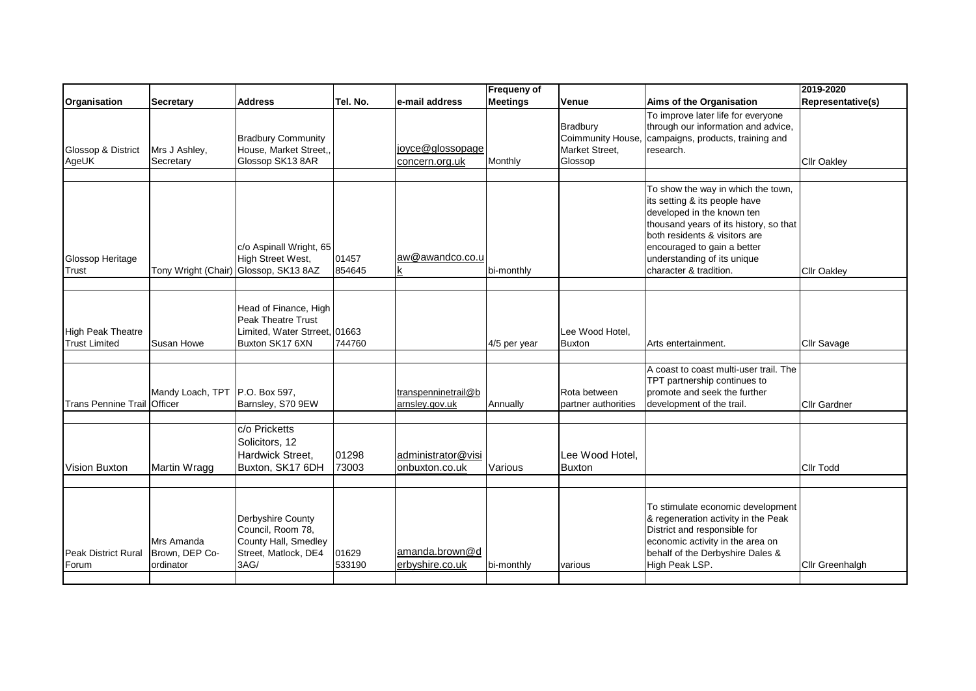|                                                  |                                           |                                                                                                        |                 |                                       | <b>Frequeny of</b> |                                                                   |                                                                                                                                                                                                                                                                      | 2019-2020           |
|--------------------------------------------------|-------------------------------------------|--------------------------------------------------------------------------------------------------------|-----------------|---------------------------------------|--------------------|-------------------------------------------------------------------|----------------------------------------------------------------------------------------------------------------------------------------------------------------------------------------------------------------------------------------------------------------------|---------------------|
| Organisation                                     | <b>Secretary</b>                          | <b>Address</b>                                                                                         | Tel. No.        | e-mail address                        | <b>Meetings</b>    | Venue                                                             | Aims of the Organisation                                                                                                                                                                                                                                             | Representative(s)   |
| Glossop & District<br>AgeUK                      | Mrs J Ashley,<br>Secretary                | <b>Bradbury Community</b><br>House, Market Street,,<br>Glossop SK13 8AR                                |                 | joyce@glossopage<br>concern.org.uk    | Monthly            | <b>Bradbury</b><br>Coimmunity House.<br>Market Street.<br>Glossop | To improve later life for everyone<br>through our information and advice,<br>campaigns, products, training and<br>research.                                                                                                                                          | <b>Cllr Oakley</b>  |
|                                                  |                                           |                                                                                                        |                 |                                       |                    |                                                                   |                                                                                                                                                                                                                                                                      |                     |
| Glossop Heritage<br>Trust                        |                                           | c/o Aspinall Wright, 65<br>High Street West,<br>Tony Wright (Chair) Glossop, SK13 8AZ                  | 01457<br>854645 | aw@awandco.co.u<br>k                  | bi-monthly         |                                                                   | To show the way in which the town,<br>its setting & its people have<br>developed in the known ten<br>thousand years of its history, so that<br>both residents & visitors are<br>encouraged to gain a better<br>understanding of its unique<br>character & tradition. | <b>Cllr Oakley</b>  |
| <b>High Peak Theatre</b><br><b>Trust Limited</b> | Susan Howe                                | Head of Finance, High<br><b>Peak Theatre Trust</b><br>Limited, Water Strreet, 01663<br>Buxton SK17 6XN | 744760          |                                       | 4/5 per year       | Lee Wood Hotel,<br>Buxton                                         | Arts entertainment.                                                                                                                                                                                                                                                  | Cllr Savage         |
|                                                  |                                           |                                                                                                        |                 |                                       |                    |                                                                   |                                                                                                                                                                                                                                                                      |                     |
| Trans Pennine Trail <i>Officer</i>               | Mandy Loach, TPT   P.O. Box 597,          | Barnsley, S70 9EW                                                                                      |                 | transpenninetrail@b<br>arnsley.gov.uk | Annually           | Rota between<br>partner authorities                               | A coast to coast multi-user trail. The<br>TPT partnership continues to<br>promote and seek the further<br>development of the trail.                                                                                                                                  | <b>Cllr Gardner</b> |
| <b>Vision Buxton</b>                             | Martin Wragg                              | c/o Pricketts<br>Solicitors, 12<br>Hardwick Street.<br>Buxton, SK17 6DH                                | 01298<br>73003  | administrator@visi<br>onbuxton.co.uk  | Various            | Lee Wood Hotel.<br><b>Buxton</b>                                  |                                                                                                                                                                                                                                                                      | <b>Cllr Todd</b>    |
| <b>Peak District Rural</b><br>Forum              | Mrs Amanda<br>Brown, DEP Co-<br>ordinator | Derbyshire County<br>Council, Room 78,<br>County Hall, Smedley<br>Street, Matlock, DE4<br>3AG/         | 01629<br>533190 | amanda.brown@d<br>erbyshire.co.uk     | bi-monthly         | various                                                           | To stimulate economic development<br>& regeneration activity in the Peak<br>District and responsible for<br>economic activity in the area on<br>behalf of the Derbyshire Dales &<br>High Peak LSP.                                                                   | Cllr Greenhalgh     |